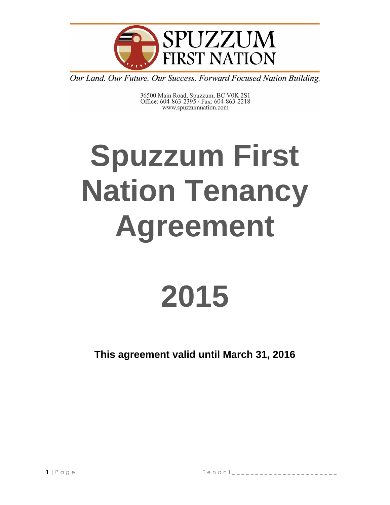

36500 Main Road, Spuzzum, BC V0K 2S1<br>Office: 604-863-2395 / Fax: 604-863-2218 www.spuzzumnation.com

# **Spuzzum First Nation Tenancy Agreement**

## **2015**

**This agreement valid until March 31, 2016**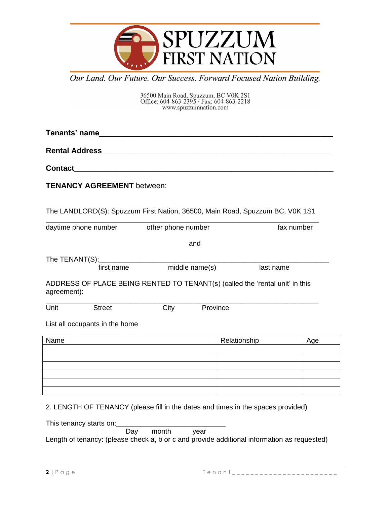

36500 Main Road, Spuzzum, BC V0K 2S1<br>Office: 604-863-2395 / Fax: 604-863-2218<br>www.spuzzumnation.com

**Tenants' name\_\_\_\_\_\_\_\_\_\_\_\_\_\_\_\_\_\_\_\_\_\_\_\_\_\_\_\_\_\_\_\_\_\_\_\_\_\_\_\_\_\_\_\_\_\_\_\_\_\_\_\_\_\_\_**

**Rental Address\_\_\_\_\_\_\_\_\_\_\_\_\_\_\_\_\_\_\_\_\_\_\_\_\_\_\_\_\_\_\_\_\_\_\_\_\_\_\_\_\_\_\_\_\_\_\_\_\_\_\_\_\_\_**

**Contact\_\_\_\_\_\_\_\_\_\_\_\_\_\_\_\_\_\_\_\_\_\_\_\_\_\_\_\_\_\_\_\_\_\_\_\_\_\_\_\_\_\_\_\_\_\_\_\_\_\_\_\_\_\_\_\_\_\_\_\_\_**

**TENANCY AGREEMENT** between:

The LANDLORD(S): Spuzzum First Nation, 36500, Main Road, Spuzzum BC, V0K 1S1

| daytime phone number                                                                        | other phone number |                | fax number |
|---------------------------------------------------------------------------------------------|--------------------|----------------|------------|
|                                                                                             |                    | and            |            |
| The TENANT(S): ________                                                                     |                    |                |            |
| first name                                                                                  |                    | middle name(s) | last name  |
| ADDRESS OF PLACE BEING RENTED TO TENANT(s) (called the 'rental unit' in this<br>agreement): |                    |                |            |
| Unit<br><b>Street</b>                                                                       | City               | Province       |            |
|                                                                                             |                    |                |            |
| List all occupants in the home                                                              |                    |                |            |
| Name                                                                                        |                    | Relationship   | Age        |
|                                                                                             |                    |                |            |
|                                                                                             |                    |                |            |
|                                                                                             |                    |                |            |
|                                                                                             |                    |                |            |

2. LENGTH OF TENANCY (please fill in the dates and times in the spaces provided)

This tenancy starts on:<br>Day month year Length of tenancy: (please check a, b or c and provide additional information as requested)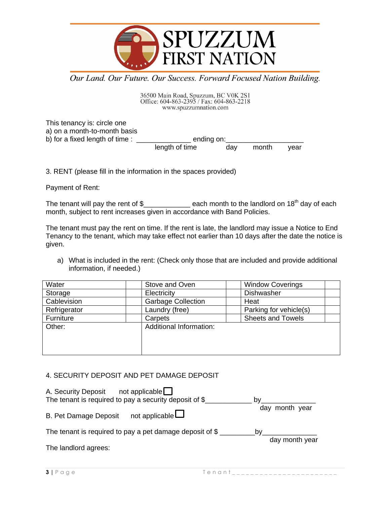

36500 Main Road, Spuzzum, BC V0K 2S1<br>Office: 604-863-2395 / Fax: 604-863-2218<br>www.spuzzumnation.com

This tenancy is: circle one a) on a month-to-month basis b) for a fixed length of time : ending on: length of time day month year

3. RENT (please fill in the information in the spaces provided)

Payment of Rent:

The tenant will pay the rent of \$\_\_\_\_\_\_\_\_\_\_\_\_ each month to the landlord on 18th day of each month, subject to rent increases given in accordance with Band Policies.

The tenant must pay the rent on time. If the rent is late, the landlord may issue a Notice to End Tenancy to the tenant, which may take effect not earlier than 10 days after the date the notice is given.

a) What is included in the rent: (Check only those that are included and provide additional information, if needed.)

| Water        | Stove and Oven            | <b>Window Coverings</b>  |
|--------------|---------------------------|--------------------------|
| Storage      | Electricity               | Dishwasher               |
| Cablevision  | <b>Garbage Collection</b> | Heat                     |
| Refrigerator | Laundry (free)            | Parking for vehicle(s)   |
| Furniture    | Carpets                   | <b>Sheets and Towels</b> |
| Other:       | Additional Information:   |                          |
|              |                           |                          |
|              |                           |                          |
|              |                           |                          |

## 4. SECURITY DEPOSIT AND PET DAMAGE DEPOSIT

| not applicable<br>A. Security Deposit<br>The tenant is required to pay a security deposit of $\frac{1}{2}$ | bv                   |
|------------------------------------------------------------------------------------------------------------|----------------------|
| not applicable $\Box$<br><b>B. Pet Damage Deposit</b>                                                      | day month year       |
| The tenant is required to pay a pet damage deposit of $\S$                                                 | bv<br>day month year |

The landlord agrees: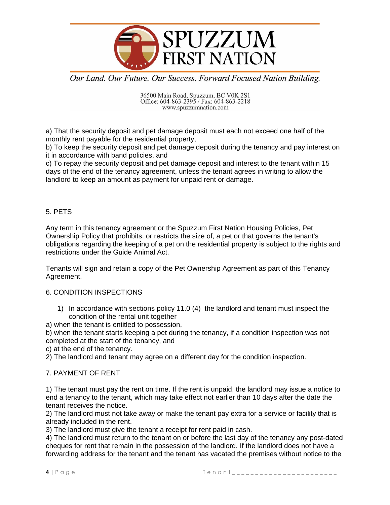

36500 Main Road, Spuzzum, BC V0K 2S1<br>Office: 604-863-2395 / Fax: 604-863-2218 www.spuzzumnation.com

a) That the security deposit and pet damage deposit must each not exceed one half of the monthly rent payable for the residential property,

b) To keep the security deposit and pet damage deposit during the tenancy and pay interest on it in accordance with band policies, and

c) To repay the security deposit and pet damage deposit and interest to the tenant within 15 days of the end of the tenancy agreement, unless the tenant agrees in writing to allow the landlord to keep an amount as payment for unpaid rent or damage.

## 5. PETS

Any term in this tenancy agreement or the Spuzzum First Nation Housing Policies, Pet Ownership Policy that prohibits, or restricts the size of, a pet or that governs the tenant's obligations regarding the keeping of a pet on the residential property is subject to the rights and restrictions under the Guide Animal Act.

Tenants will sign and retain a copy of the Pet Ownership Agreement as part of this Tenancy Agreement.

## 6. CONDITION INSPECTIONS

1) In accordance with sections policy 11.0 (4) the landlord and tenant must inspect the condition of the rental unit together

a) when the tenant is entitled to possession,

b) when the tenant starts keeping a pet during the tenancy, if a condition inspection was not completed at the start of the tenancy, and

c) at the end of the tenancy.

2) The landlord and tenant may agree on a different day for the condition inspection.

## 7. PAYMENT OF RENT

1) The tenant must pay the rent on time. If the rent is unpaid, the landlord may issue a notice to end a tenancy to the tenant, which may take effect not earlier than 10 days after the date the tenant receives the notice.

2) The landlord must not take away or make the tenant pay extra for a service or facility that is already included in the rent.

3) The landlord must give the tenant a receipt for rent paid in cash.

4) The landlord must return to the tenant on or before the last day of the tenancy any post-dated cheques for rent that remain in the possession of the landlord. If the landlord does not have a forwarding address for the tenant and the tenant has vacated the premises without notice to the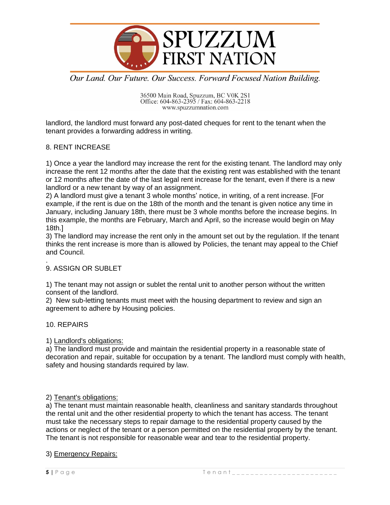

36500 Main Road, Spuzzum, BC V0K 2S1<br>Office: 604-863-2395 / Fax: 604-863-2218<br>www.spuzzumnation.com

landlord, the landlord must forward any post-dated cheques for rent to the tenant when the tenant provides a forwarding address in writing.

## 8. RENT INCREASE

1) Once a year the landlord may increase the rent for the existing tenant. The landlord may only increase the rent 12 months after the date that the existing rent was established with the tenant or 12 months after the date of the last legal rent increase for the tenant, even if there is a new landlord or a new tenant by way of an assignment.

2) A landlord must give a tenant 3 whole months' notice, in writing, of a rent increase. [For example, if the rent is due on the 18th of the month and the tenant is given notice any time in January, including January 18th, there must be 3 whole months before the increase begins. In this example, the months are February, March and April, so the increase would begin on May 18th.]

3) The landlord may increase the rent only in the amount set out by the regulation. If the tenant thinks the rent increase is more than is allowed by Policies, the tenant may appeal to the Chief and Council.

#### . 9. ASSIGN OR SUBLET

1) The tenant may not assign or sublet the rental unit to another person without the written consent of the landlord.

2) New sub-letting tenants must meet with the housing department to review and sign an agreement to adhere by Housing policies.

#### 10. REPAIRS

#### 1) Landlord's obligations:

a) The landlord must provide and maintain the residential property in a reasonable state of decoration and repair, suitable for occupation by a tenant. The landlord must comply with health, safety and housing standards required by law.

#### 2) Tenant's obligations:

a) The tenant must maintain reasonable health, cleanliness and sanitary standards throughout the rental unit and the other residential property to which the tenant has access. The tenant must take the necessary steps to repair damage to the residential property caused by the actions or neglect of the tenant or a person permitted on the residential property by the tenant. The tenant is not responsible for reasonable wear and tear to the residential property.

## 3) Emergency Repairs: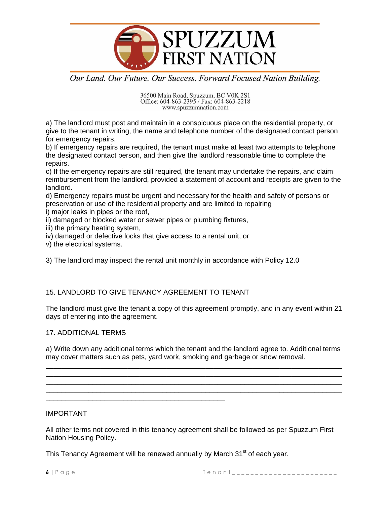

36500 Main Road, Spuzzum, BC V0K 2S1<br>Office: 604-863-2395 / Fax: 604-863-2218<br>www.spuzzumnation.com

a) The landlord must post and maintain in a conspicuous place on the residential property, or give to the tenant in writing, the name and telephone number of the designated contact person for emergency repairs.

b) If emergency repairs are required, the tenant must make at least two attempts to telephone the designated contact person, and then give the landlord reasonable time to complete the repairs.

c) If the emergency repairs are still required, the tenant may undertake the repairs, and claim reimbursement from the landlord, provided a statement of account and receipts are given to the landlord.

d) Emergency repairs must be urgent and necessary for the health and safety of persons or preservation or use of the residential property and are limited to repairing

i) major leaks in pipes or the roof,

- ii) damaged or blocked water or sewer pipes or plumbing fixtures,
- iii) the primary heating system,
- iv) damaged or defective locks that give access to a rental unit, or
- v) the electrical systems.

3) The landlord may inspect the rental unit monthly in accordance with Policy 12.0

## 15. LANDLORD TO GIVE TENANCY AGREEMENT TO TENANT

\_\_\_\_\_\_\_\_\_\_\_\_\_\_\_\_\_\_\_\_\_\_\_\_\_\_\_\_\_\_\_\_\_\_\_\_\_\_\_\_\_\_\_\_\_\_

The landlord must give the tenant a copy of this agreement promptly, and in any event within 21 days of entering into the agreement.

## 17. ADDITIONAL TERMS

a) Write down any additional terms which the tenant and the landlord agree to. Additional terms may cover matters such as pets, yard work, smoking and garbage or snow removal. \_\_\_\_\_\_\_\_\_\_\_\_\_\_\_\_\_\_\_\_\_\_\_\_\_\_\_\_\_\_\_\_\_\_\_\_\_\_\_\_\_\_\_\_\_\_\_\_\_\_\_\_\_\_\_\_\_\_\_\_\_\_\_\_\_\_\_\_\_\_\_\_\_\_\_\_

\_\_\_\_\_\_\_\_\_\_\_\_\_\_\_\_\_\_\_\_\_\_\_\_\_\_\_\_\_\_\_\_\_\_\_\_\_\_\_\_\_\_\_\_\_\_\_\_\_\_\_\_\_\_\_\_\_\_\_\_\_\_\_\_\_\_\_\_\_\_\_\_\_\_\_\_ \_\_\_\_\_\_\_\_\_\_\_\_\_\_\_\_\_\_\_\_\_\_\_\_\_\_\_\_\_\_\_\_\_\_\_\_\_\_\_\_\_\_\_\_\_\_\_\_\_\_\_\_\_\_\_\_\_\_\_\_\_\_\_\_\_\_\_\_\_\_\_\_\_\_\_\_ \_\_\_\_\_\_\_\_\_\_\_\_\_\_\_\_\_\_\_\_\_\_\_\_\_\_\_\_\_\_\_\_\_\_\_\_\_\_\_\_\_\_\_\_\_\_\_\_\_\_\_\_\_\_\_\_\_\_\_\_\_\_\_\_\_\_\_\_\_\_\_\_\_\_\_\_

IMPORTANT

All other terms not covered in this tenancy agreement shall be followed as per Spuzzum First Nation Housing Policy.

This Tenancy Agreement will be renewed annually by March 31<sup>st</sup> of each year.